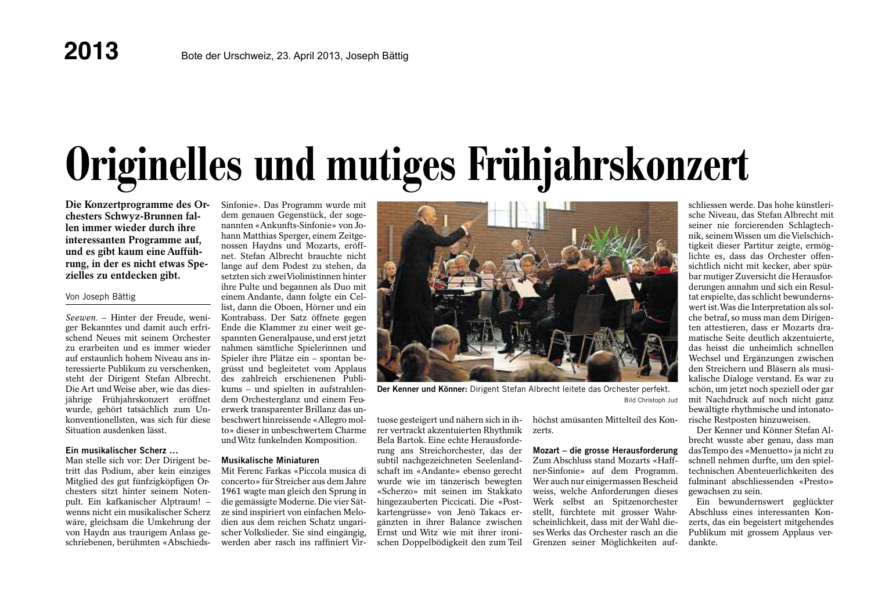# Originelles und mutiges Frühjahrskonzert

Die Konzertprogramme des Orchesters Schwyz-Brunnen fallen immer wieder durch ihre interessanten Programme auf. und es gibt kaum eine Aufführung, in der es nicht etwas Spezielles zu entdecken gibt.

### Von Joseph Bättig

Seewen. - Hinter der Freude, weniger Bekanntes und damit auch erfrischend Neues mit seinem Orchester zu erarbeiten und es immer wieder auf erstaunlich hohem Niveau ans interessierte Publikum zu verschenken. steht der Dirigent Stefan Albrecht. Die Art und Weise aber, wie das diesjährige Frühjahrskonzert eröffnet wurde, gehört tatsächlich zum Unkonventionellsten, was sich für diese Situation ausdenken lässt

### Ein musikalischer Scherz ...

Man stelle sich vor: Der Dirigent betritt das Podium, aber kein einziges Mitglied des gut fünfzigköpfigen Orchesters sitzt hinter seinem Notenpult. Ein kafkanischer Alptraum! wenns nicht ein musikalischer Scherz wäre, gleichsam die Umkehrung der von Havdn aus traurigem Anlass geschriebenen, berühmten «AbschiedsSinfonie». Das Programm wurde mit dem genauen Gegenstück, der sogenannten «Ankunfts-Sinfonie» von Johann Matthias Sperger, einem Zeitgenossen Haydns und Mozarts, eröffnet. Stefan Albrecht brauchte nicht lange auf dem Podest zu stehen, da setzten sich zwei Violinistinnen hinter ihre Pulte und begannen als Duo mit einem Andante, dann folgte ein Cellist, dann die Oboen. Hörner und ein Kontrabass. Der Satz öffnete gegen Ende die Klammer zu einer weit gespannten Generalpause, und erst jetzt nahmen sämtliche Spielerinnen und Spieler ihre Plätze ein - spontan begrüsst und begleitetet vom Applaus des zahlreich erschienenen Publikums – und spielten in aufstrahlendem Orchesterglanz und einem Feu-

erwerk transparenter Brillanz das unbeschwert hinreissende «Allegro molto» dieser in unbeschwertem Charme und Witz funkelnden Komposition.

### **Musikalische Miniaturen**

Mit Ferenc Farkas «Piccola musica di concerto» für Streicher aus dem Jahre 1961 wagte man gleich den Sprung in die gemässigte Moderne. Die vier Sätze sind inspiriert von einfachen Melodien aus dem reichen Schatz ungarischer Volkslieder. Sie sind eingängig. werden aber rasch ins raffiniert Vir-



Der Kenner und Könner: Dirigent Stefan Albrecht leitete das Orchester perfekt. **Bild Christoph Jud** 

tuose gesteigert und nähern sich in ihrer vertrackt akzentuierten Rhythmik Bela Bartok. Eine echte Herausforderung ans Streichorchester, das der subtil nachgezeichneten Seelenlandschaft im «Andante» ebenso gerecht wurde wie im tänzerisch bewegten «Scherzo» mit seinen im Stakkato hingezauberten Piccicati. Die «Postkartengrüsse» von Jenö Takacs ergänzten in ihrer Balance zwischen Ernst und Witz wie mit ihrer ironischen Doppelbödigkeit den zum Teil

höchst amüsanten Mittelteil des Konzerts

Mozart - die grosse Herausforderung Zum Abschluss stand Mozarts «Haffner-Sinfonie» auf dem Programm. Wer auch nur einigermassen Bescheid weiss, welche Anforderungen dieses Werk selbst an Spitzenorchester stellt, fürchtete mit grosser Wahrscheinlichkeit dass mit der Wahl dieses Werks das Orchester rasch an die Grenzen seiner Möglichkeiten auf-

schliessen werde. Das hohe künstlerische Niveau, das Stefan Albrecht mit seiner nie forcierenden Schlagtechnik, seinem Wissen um die Vielschichtigkeit dieser Partitur zeigte, ermöglichte es, dass das Orchester offensichtlich nicht mit kecker, aber spürbar mutiger Zuversicht die Herausforderungen annahm und sich ein Resultat erspielte, das schlicht bewundernswert ist. Was die Interpretation als solche betraf, so muss man dem Dirigenten attestieren, dass er Mozarts dramatische Seite deutlich akzentuierte. das heisst die unheimlich schnellen Wechsel und Ergänzungen zwischen den Streichern und Bläsern als musikalische Dialoge verstand. Es war zu schön, um jetzt noch speziell oder gar mit Nachdruck auf noch nicht ganz bewältigte rhythmische und intonatorische Restposten hinzuweisen.

Der Kenner und Könner Stefan Albrecht wusste aber genau, dass man das Tempo des «Menuetto» ja nicht zu schnell nehmen durfte, um den spieltechnischen Abenteuerlichkeiten des fulminant abschliessenden «Presto» gewachsen zu sein.

Ein bewundernswert geglückter Abschluss eines interessanten Konzerts, das ein begeistert mitgehendes Publikum mit grossem Applaus verdankte.